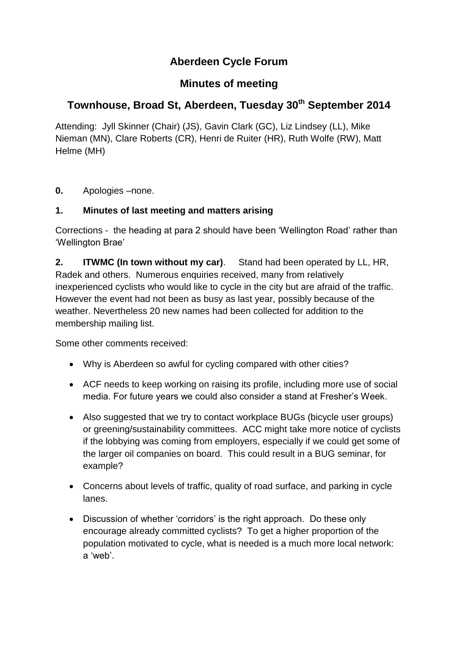# **Aberdeen Cycle Forum**

## **Minutes of meeting**

# **Townhouse, Broad St, Aberdeen, Tuesday 30th September 2014**

Attending: Jyll Skinner (Chair) (JS), Gavin Clark (GC), Liz Lindsey (LL), Mike Nieman (MN), Clare Roberts (CR), Henri de Ruiter (HR), Ruth Wolfe (RW), Matt Helme (MH)

**0.** Apologies –none.

## **1. Minutes of last meeting and matters arising**

Corrections - the heading at para 2 should have been 'Wellington Road' rather than 'Wellington Brae'

**2. ITWMC (In town without my car)**. Stand had been operated by LL, HR, Radek and others. Numerous enquiries received, many from relatively inexperienced cyclists who would like to cycle in the city but are afraid of the traffic. However the event had not been as busy as last year, possibly because of the weather. Nevertheless 20 new names had been collected for addition to the membership mailing list.

Some other comments received:

- Why is Aberdeen so awful for cycling compared with other cities?
- ACF needs to keep working on raising its profile, including more use of social media. For future years we could also consider a stand at Fresher's Week.
- Also suggested that we try to contact workplace BUGs (bicycle user groups) or greening/sustainability committees. ACC might take more notice of cyclists if the lobbying was coming from employers, especially if we could get some of the larger oil companies on board. This could result in a BUG seminar, for example?
- Concerns about levels of traffic, quality of road surface, and parking in cycle lanes.
- Discussion of whether 'corridors' is the right approach. Do these only encourage already committed cyclists? To get a higher proportion of the population motivated to cycle, what is needed is a much more local network: a 'web'.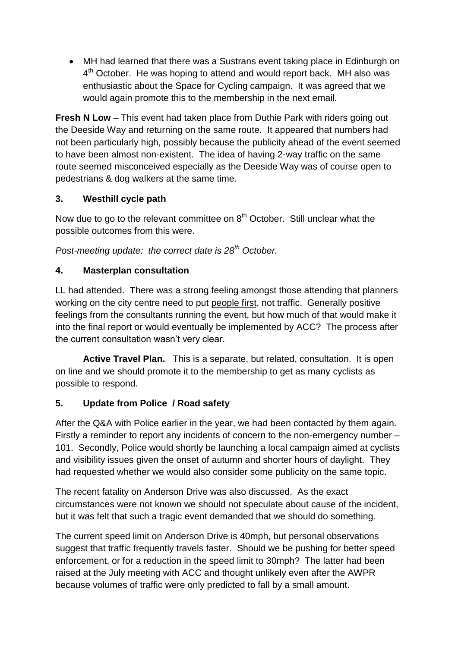MH had learned that there was a Sustrans event taking place in Edinburgh on 4<sup>th</sup> October. He was hoping to attend and would report back. MH also was enthusiastic about the Space for Cycling campaign. It was agreed that we would again promote this to the membership in the next email.

**Fresh N Low** – This event had taken place from Duthie Park with riders going out the Deeside Way and returning on the same route. It appeared that numbers had not been particularly high, possibly because the publicity ahead of the event seemed to have been almost non-existent. The idea of having 2-way traffic on the same route seemed misconceived especially as the Deeside Way was of course open to pedestrians & dog walkers at the same time.

## **3. Westhill cycle path**

Now due to go to the relevant committee on  $8<sup>th</sup>$  October. Still unclear what the possible outcomes from this were.

*Post-meeting update: the correct date is 28th October.*

#### **4. Masterplan consultation**

LL had attended. There was a strong feeling amongst those attending that planners working on the city centre need to put people first, not traffic. Generally positive feelings from the consultants running the event, but how much of that would make it into the final report or would eventually be implemented by ACC? The process after the current consultation wasn't very clear.

**Active Travel Plan.** This is a separate, but related, consultation. It is open on line and we should promote it to the membership to get as many cyclists as possible to respond.

## **5. Update from Police / Road safety**

After the Q&A with Police earlier in the year, we had been contacted by them again. Firstly a reminder to report any incidents of concern to the non-emergency number – 101. Secondly, Police would shortly be launching a local campaign aimed at cyclists and visibility issues given the onset of autumn and shorter hours of daylight. They had requested whether we would also consider some publicity on the same topic.

The recent fatality on Anderson Drive was also discussed. As the exact circumstances were not known we should not speculate about cause of the incident, but it was felt that such a tragic event demanded that we should do something.

The current speed limit on Anderson Drive is 40mph, but personal observations suggest that traffic frequently travels faster. Should we be pushing for better speed enforcement, or for a reduction in the speed limit to 30mph? The latter had been raised at the July meeting with ACC and thought unlikely even after the AWPR because volumes of traffic were only predicted to fall by a small amount.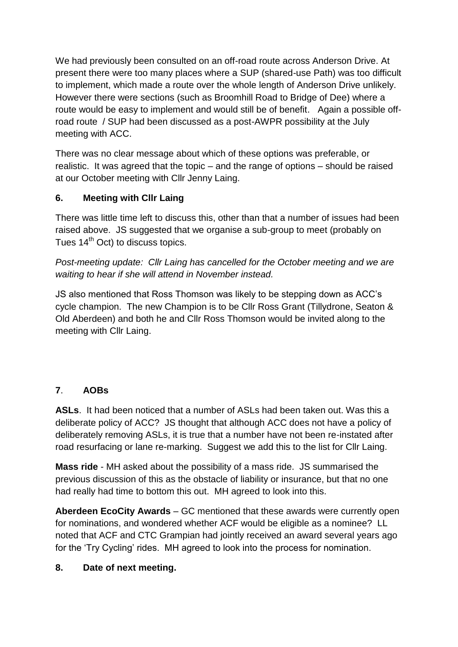We had previously been consulted on an off-road route across Anderson Drive. At present there were too many places where a SUP (shared-use Path) was too difficult to implement, which made a route over the whole length of Anderson Drive unlikely. However there were sections (such as Broomhill Road to Bridge of Dee) where a route would be easy to implement and would still be of benefit. Again a possible offroad route / SUP had been discussed as a post-AWPR possibility at the July meeting with ACC.

There was no clear message about which of these options was preferable, or realistic. It was agreed that the topic – and the range of options – should be raised at our October meeting with Cllr Jenny Laing.

## **6. Meeting with Cllr Laing**

There was little time left to discuss this, other than that a number of issues had been raised above. JS suggested that we organise a sub-group to meet (probably on Tues 14<sup>th</sup> Oct) to discuss topics.

*Post-meeting update: Cllr Laing has cancelled for the October meeting and we are waiting to hear if she will attend in November instead.*

JS also mentioned that Ross Thomson was likely to be stepping down as ACC's cycle champion. The new Champion is to be Cllr Ross Grant (Tillydrone, Seaton & Old Aberdeen) and both he and Cllr Ross Thomson would be invited along to the meeting with Cllr Laing.

## **7**. **AOBs**

**ASLs**. It had been noticed that a number of ASLs had been taken out. Was this a deliberate policy of ACC? JS thought that although ACC does not have a policy of deliberately removing ASLs, it is true that a number have not been re-instated after road resurfacing or lane re-marking. Suggest we add this to the list for Cllr Laing.

**Mass ride** - MH asked about the possibility of a mass ride. JS summarised the previous discussion of this as the obstacle of liability or insurance, but that no one had really had time to bottom this out. MH agreed to look into this.

**Aberdeen EcoCity Awards** – GC mentioned that these awards were currently open for nominations, and wondered whether ACF would be eligible as a nominee? LL noted that ACF and CTC Grampian had jointly received an award several years ago for the 'Try Cycling' rides. MH agreed to look into the process for nomination.

## **8. Date of next meeting.**